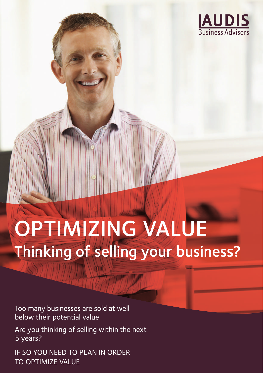

# OPTIMIZING VALUE Thinking of selling your business?

Too many businesses are sold at well below their potential value

Are you thinking of selling within the next 5 years?

IF SO YOU NEED TO PLAN IN ORDER TO OPTIMIZE VALUE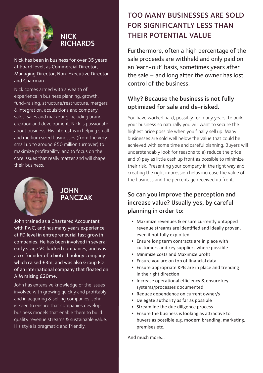

## **NICK RICHARDS**

Nick has been in business for over 35 years at board level, as Commercial Director, Managing Director, Non-Executive Director and Chairman

Nick comes armed with a wealth of experience in business planning, growth, fund-raising, structure/restructure, mergers & integration, acquisitions and company sales, sales and marketing including brand creation and development. Nick is passionate about business. His interest is in helping small and medium sized businesses (from the very small up to around £50 million turnover) to maximize profitability, and to focus on the core issues that really matter and will shape their business.



## **JOHN PANCZAK**

John trained as a Chartered Accountant with PwC, and has many years experience at FD level in entrepreneurial fast growth companies. He has been involved in several early stage VC backed companies, and was a co-founder of a biotechnology company which raised £3m, and was also Group FD of an international company that floated on AIM raising £20m+.

John has extensive knowledge of the issues involved with growing quickly and profitably and in acquiring & selling companies. John is keen to ensure that companies develop business models that enable them to build quality revenue streams & sustainable value. His style is pragmatic and friendly.

## TOO MANY BUSINESSES ARE SOLD FOR SIGNIFICANTLY LESS THAN THEIR POTENTIAL VALUE

Furthermore, often a high percentage of the sale proceeds are withheld and only paid on an 'earn-out' basis, sometimes years after the sale – and long after the owner has lost control of the business.

## Why? Because the business is not fully optimized for sale and de-risked.

You have worked hard, possibly for many years, to build your business so naturally you will want to secure the highest price possible when you finally sell up. Many businesses are sold well below the value that could be achieved with some time and careful planning. Buyers will understandably look for reasons to a) reduce the price and b) pay as little cash up front as possible to minimize their risk. Presenting your company in the right way and creating the right impression helps increase the value of the business and the percentage received up front.

## So can you improve the perception and increase value? Usually yes, by careful planning in order to:

- Maximize revenues & ensure currently untapped revenue streams are identified and ideally proven, even if not fully exploited
- Ensure long term contracts are in place with customers and key suppliers where possible
- Minimize costs and Maximize profit
- Ensure you are on top of financial data
- Ensure appropriate KPIs are in place and trending in the right direction
- Increase operational efficiency & ensure key systems/processes documented
- Reduce dependence on current owner/s
- Delegate authority as far as possible
- Streamline the due diligence process
- Ensure the business is looking as attractive to buyers as possible e.g. modern branding, marketing, premises etc.

And much more...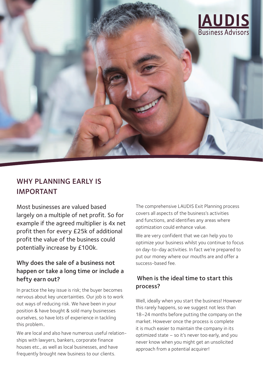

## WHY PLANNING EARLY IS IMPORTANT

Most businesses are valued based largely on a multiple of net profit. So for example if the agreed multiplier is 4x net profit then for every £25k of additional profit the value of the business could potentially increase by £100k.

## Why does the sale of a business not happen or take a long time or include a hefty earn out?

In practice the key issue is risk; the buyer becomes nervous about key uncertainties. Our job is to work out ways of reducing risk. We have been in your position & have bought & sold many businesses ourselves, so have lots of experience in tackling this problem..

We are local and also have numerous useful relationships with lawyers, bankers, corporate finance houses etc., as well as local businesses, and have frequently brought new business to our clients.

The comprehensive LAUDIS Exit Planning process covers all aspects of the business's activities and functions, and identifies any areas where optimization could enhance value.

We are very confident that we can help you to optimize your business whilst you continue to focus on day-to-day activities. In fact we're prepared to put our money where our mouths are and offer a success-based fee.

#### When is the ideal time to start this process?

Well, ideally when you start the business! However this rarely happens, so we suggest not less than 18–24 months before putting the company on the market. However once the process is complete it is much easier to maintain the company in its optimized state – so it's never too early, and you never know when you might get an unsolicited approach from a potential acquirer!